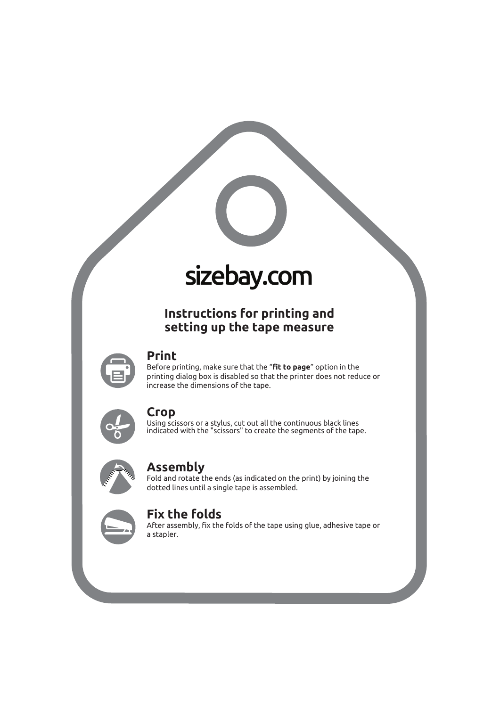

# sizebay.com

# **Instructions for printing and setting up the tape measure**



#### **Print**

Before printing, make sure that the "**fit to page**" option in the printing dialog box is disabled so that the printer does not reduce or increase the dimensions of the tape.



#### **Crop**

Using scissors or a stylus, cut out all the continuous black lines indicated with the "scissors" to create the segments of the tape.



### **Assembly**

Fold and rotate the ends (as indicated on the print) by joining the dotted lines until a single tape is assembled.



## **Fix the folds**

After assembly, fix the folds of the tape using glue, adhesive tape or a stapler.